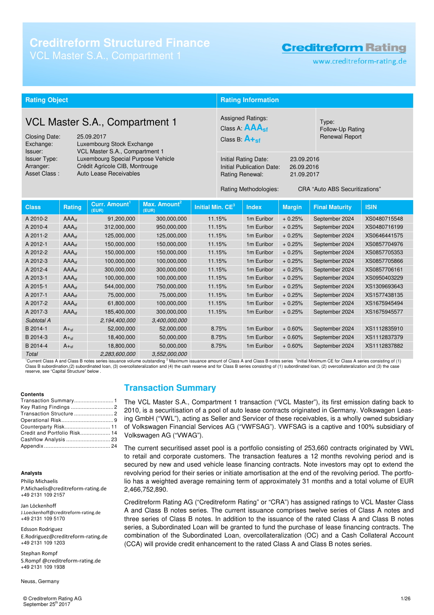# **Creditreform Structured Finance**

# **Creditreform Rating**

www.creditreform-rating.de

| <b>Rating Object</b>                                                                                                                                                                            |                   |                                    |                                                                                                                       | <b>Rating Information</b>                                                                      |        |                                                    |               |                                       |              |
|-------------------------------------------------------------------------------------------------------------------------------------------------------------------------------------------------|-------------------|------------------------------------|-----------------------------------------------------------------------------------------------------------------------|------------------------------------------------------------------------------------------------|--------|----------------------------------------------------|---------------|---------------------------------------|--------------|
|                                                                                                                                                                                                 |                   |                                    |                                                                                                                       |                                                                                                |        |                                                    |               |                                       |              |
| VCL Master S.A., Compartment 1<br><b>Closing Date:</b><br>25.09.2017<br>Exchange:<br>Luxembourg Stock Exchange                                                                                  |                   |                                    |                                                                                                                       | <b>Assigned Ratings:</b><br>Class A: $\mathbf{AAA}_{\mathbf{sf}}$<br>Class B: $A_{\text{+sf}}$ |        | Type:<br>Follow-Up Rating<br><b>Renewal Report</b> |               |                                       |              |
| VCL Master S.A., Compartment 1<br>Issuer:<br>Luxembourg Special Purpose Vehicle<br><b>Issuer Type:</b><br>Crédit Agricole CIB, Montrouge<br>Arranger:<br>Auto Lease Receivables<br>Asset Class: |                   |                                    | <b>Initial Rating Date:</b><br>23.09.2016<br>Initial Publication Date:<br>26.09.2016<br>Rating Renewal:<br>21.09.2017 |                                                                                                |        |                                                    |               |                                       |              |
|                                                                                                                                                                                                 |                   |                                    |                                                                                                                       |                                                                                                |        | Rating Methodologies:                              |               | <b>CRA "Auto ABS Securitizations"</b> |              |
| <b>Class</b>                                                                                                                                                                                    | <b>Rating</b>     | Curr. Amount <sup>1</sup><br>(EUR) | Max. Amount <sup>2</sup><br>(EUR)                                                                                     | Initial Min. CE <sup>3</sup>                                                                   |        | <b>Index</b>                                       | <b>Margin</b> | <b>Final Maturity</b>                 | <b>ISIN</b>  |
| A 2010-2                                                                                                                                                                                        | AAA <sub>sf</sub> | 91,200,000                         | 300,000,000                                                                                                           |                                                                                                | 11.15% | 1m Euribor                                         | $+0.25%$      | September 2024                        | XS0480715548 |
| A 2010-4                                                                                                                                                                                        | AAA <sub>sf</sub> | 312,000,000                        | 950,000,000                                                                                                           |                                                                                                | 11.15% | 1m Euribor                                         | $+0.25%$      | September 2024                        | XS0480716199 |
| A 2011-2                                                                                                                                                                                        | AAA <sub>sf</sub> | 125,000,000                        | 125,000,000                                                                                                           |                                                                                                | 11.15% | 1m Euribor                                         | $+0.25%$      | September 2024                        | XS0646441575 |
| A 2012-1                                                                                                                                                                                        | AAA <sub>sf</sub> | 150,000,000                        | 150,000,000                                                                                                           |                                                                                                | 11.15% | 1m Euribor                                         | $+0.25%$      | September 2024                        | XS0857704976 |
| A 2012-2                                                                                                                                                                                        | AAA <sub>sf</sub> | 150,000,000                        | 150,000,000                                                                                                           |                                                                                                | 11.15% | 1m Euribor                                         | $+0.25%$      | September 2024                        | XS0857705353 |
| A 2012-3                                                                                                                                                                                        | AAA <sub>sf</sub> | 100,000,000                        | 100,000,000                                                                                                           |                                                                                                | 11.15% | 1m Euribor                                         | $+0.25%$      | September 2024                        | XS0857705866 |
| A 2012-4                                                                                                                                                                                        | AAA <sub>sf</sub> | 300,000,000                        | 300,000,000                                                                                                           |                                                                                                | 11.15% | 1m Euribor                                         | $+0.25%$      | September 2024                        | XS0857706161 |
| A 2013-1                                                                                                                                                                                        | AAA <sub>sf</sub> | 100,000,000                        | 100,000,000                                                                                                           |                                                                                                | 11.15% | 1m Euribor                                         | $+0.25%$      | September 2024                        | XS0950403229 |
| A 2015-1                                                                                                                                                                                        | AAA <sub>sf</sub> | 544,000,000                        | 750,000,000                                                                                                           |                                                                                                | 11.15% | 1m Euribor                                         | $+0.25%$      | September 2024                        | XS1309693643 |
| A 2017-1                                                                                                                                                                                        | AAA <sub>cf</sub> | 75,000,000                         | 75,000,000                                                                                                            |                                                                                                | 11.15% | 1m Euribor                                         | $+0.25%$      | September 2024                        | XS1577438135 |
| A 2017-2                                                                                                                                                                                        | AAA <sub>cf</sub> | 61,800,000                         | 100,000,000                                                                                                           |                                                                                                | 11.15% | 1m Euribor                                         | $+0.25%$      | September 2024                        | XS1675945494 |
| A 2017-3                                                                                                                                                                                        | AAA <sub>sf</sub> | 185,400,000                        | 300,000,000                                                                                                           |                                                                                                | 11.15% | 1m Euribor                                         | $+0.25%$      | September 2024                        | XS1675945577 |
| Subtotal A                                                                                                                                                                                      |                   | 2,194,400,000                      | 3,400,000,000                                                                                                         |                                                                                                |        |                                                    |               |                                       |              |
| B 2014-1                                                                                                                                                                                        | $A +sf$           | 52,000,000                         | 52,000,000                                                                                                            |                                                                                                | 8.75%  | 1m Euribor                                         | $+0.60%$      | September 2024                        | XS1112835910 |
| B 2014-3                                                                                                                                                                                        | $A_{\text{+sf}}$  | 18,400,000                         | 50,000,000                                                                                                            |                                                                                                | 8.75%  | 1m Euribor                                         | $+0.60%$      | September 2024                        | XS1112837379 |
| B 2014-4                                                                                                                                                                                        | $A_{\text{+sf}}$  | 18,800,000                         | 50,000,000                                                                                                            |                                                                                                | 8.75%  | 1 <sub>m</sub> Euribor                             | $+0.60%$      | September 2024                        | XS1112837882 |
| Total                                                                                                                                                                                           |                   | 2,283,600,000                      | 3,552,000,000                                                                                                         |                                                                                                |        |                                                    |               |                                       |              |

<sup>1</sup>Current Class A and Class B notes series issuance volume outstanding <sup>2</sup> Maximum issuance amount of Class A and Class B notes series <sup>3</sup>Initial Minimum CE for Class A series consisting of (1) Class B subordination,(2) subordinated loan, (3) overcollateralization and (4) the cash reserve and for Class B series consisting of (1) subordinated loan, (2) overcollateralization and (3) the case<br>reserve, see "Capital S

#### **Contents**

| Transaction Summary1         |  |
|------------------------------|--|
|                              |  |
|                              |  |
|                              |  |
|                              |  |
| Credit and Portfolio Risk 14 |  |
|                              |  |
|                              |  |

#### **Analysts**

Philip Michaelis P.Michaelis@creditreform-rating.de +49 2131 109 2157

Jan Löckenhoff J.Loeckenhoff@creditreform-rating.de +49 2131 109 5170

Edsson Rodriguez E.Rodriguez@creditreform-rating.de +49 2131 109 1203

Stephan Rompf S.Rompf @creditreform-rating.de +49 2131 109 1938

Neuss, Germany

© Creditreform Rating AG 1/26 September 25<sup>th</sup> 2017

### **Transaction Summary**

The VCL Master S.A., Compartment 1 transaction ("VCL Master"), its first emission dating back to 2010, is a securitisation of a pool of auto lease contracts originated in Germany. Volkswagen Leasing GmbH ("VWL"), acting as Seller and Servicer of these receivables, is a wholly owned subsidiary of Volkswagen Financial Services AG ("VWFSAG"). VWFSAG is a captive and 100% subsidiary of Volkswagen AG ("VWAG").

The current securitised asset pool is a portfolio consisting of 253,660 contracts originated by VWL to retail and corporate customers. The transaction features a 12 months revolving period and is secured by new and used vehicle lease financing contracts. Note investors may opt to extend the revolving period for their series or initiate amortisation at the end of the revolving period. The portfolio has a weighted average remaining term of approximately 31 months and a total volume of EUR 2,466,752,890.

Creditreform Rating AG ("Creditreform Rating" or "CRA") has assigned ratings to VCL Master Class A and Class B notes series. The current issuance comprises twelve series of Class A notes and three series of Class B notes. In addition to the issuance of the rated Class A and Class B notes series, a Subordinated Loan will be granted to fund the purchase of lease financing contracts. The combination of the Subordinated Loan, overcollateralization (OC) and a Cash Collateral Account (CCA) will provide credit enhancement to the rated Class A and Class B notes series.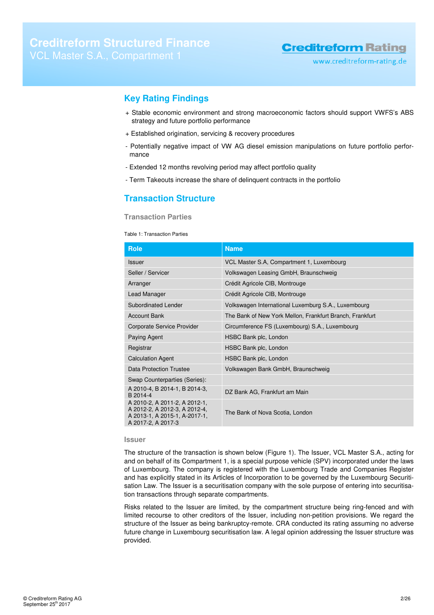www.creditreform-rating.de

### **Key Rating Findings**

- + Stable economic environment and strong macroeconomic factors should support VWFS's ABS strategy and future portfolio performance
- + Established origination, servicing & recovery procedures
- Potentially negative impact of VW AG diesel emission manipulations on future portfolio performance
- Extended 12 months revolving period may affect portfolio quality
- Term Takeouts increase the share of delinquent contracts in the portfolio

### **Transaction Structure**

### **Transaction Parties**

#### Table 1: Transaction Parties

| <b>Role</b>                                                                                                           | <b>Name</b>                                              |  |  |
|-----------------------------------------------------------------------------------------------------------------------|----------------------------------------------------------|--|--|
| Issuer                                                                                                                | VCL Master S.A, Compartment 1, Luxembourg                |  |  |
| Seller / Servicer                                                                                                     | Volkswagen Leasing GmbH, Braunschweig                    |  |  |
| Arranger                                                                                                              | Crédit Agricole CIB, Montrouge                           |  |  |
| Lead Manager                                                                                                          | Crédit Agricole CIB, Montrouge                           |  |  |
| Subordinated Lender                                                                                                   | Volkswagen International Luxemburg S.A., Luxembourg      |  |  |
| <b>Account Bank</b>                                                                                                   | The Bank of New York Mellon, Frankfurt Branch, Frankfurt |  |  |
| Corporate Service Provider                                                                                            | Circumference FS (Luxembourg) S.A., Luxembourg           |  |  |
| Paying Agent                                                                                                          | HSBC Bank plc, London                                    |  |  |
| Registrar                                                                                                             | HSBC Bank plc, London                                    |  |  |
| <b>Calculation Agent</b>                                                                                              | HSBC Bank plc, London                                    |  |  |
| <b>Data Protection Trustee</b>                                                                                        | Volkswagen Bank GmbH, Braunschweig                       |  |  |
| Swap Counterparties (Series):                                                                                         |                                                          |  |  |
| A 2010-4, B 2014-1, B 2014-3,<br>B 2014-4                                                                             | DZ Bank AG, Frankfurt am Main                            |  |  |
| A 2010-2, A 2011-2, A 2012-1,<br>A 2012-2, A 2012-3, A 2012-4,<br>A 2013-1, A 2015-1, A-2017-1,<br>A 2017-2, A 2017-3 | The Bank of Nova Scotia, London                          |  |  |

### **Issuer**

The structure of the transaction is shown below (Figure 1). The Issuer, VCL Master S.A., acting for and on behalf of its Compartment 1, is a special purpose vehicle (SPV) incorporated under the laws of Luxembourg. The company is registered with the Luxembourg Trade and Companies Register and has explicitly stated in its Articles of Incorporation to be governed by the Luxembourg Securitisation Law. The Issuer is a securitisation company with the sole purpose of entering into securitisation transactions through separate compartments.

Risks related to the Issuer are limited, by the compartment structure being ring-fenced and with limited recourse to other creditors of the Issuer, including non-petition provisions. We regard the structure of the Issuer as being bankruptcy-remote. CRA conducted its rating assuming no adverse future change in Luxembourg securitisation law. A legal opinion addressing the Issuer structure was provided.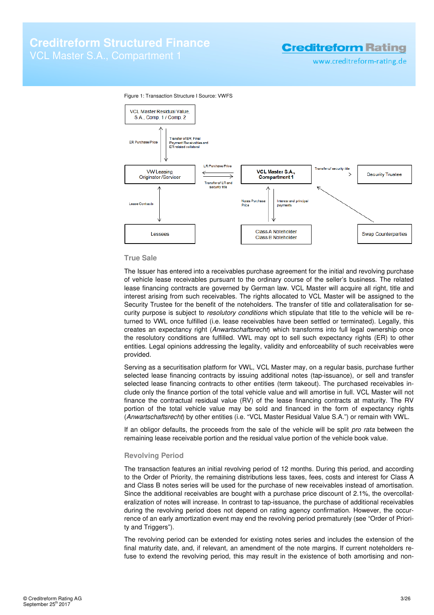www.creditreform-rating.de





#### **True Sale**

The Issuer has entered into a receivables purchase agreement for the initial and revolving purchase of vehicle lease receivables pursuant to the ordinary course of the seller's business. The related lease financing contracts are governed by German law. VCL Master will acquire all right, title and interest arising from such receivables. The rights allocated to VCL Master will be assigned to the Security Trustee for the benefit of the noteholders. The transfer of title and collateralisation for security purpose is subject to resolutory conditions which stipulate that title to the vehicle will be returned to VWL once fulfilled (i.e. lease receivables have been settled or terminated). Legally, this creates an expectancy right (Anwartschaftsrecht) which transforms into full legal ownership once the resolutory conditions are fulfilled. VWL may opt to sell such expectancy rights (ER) to other entities. Legal opinions addressing the legality, validity and enforceability of such receivables were provided.

Serving as a securitisation platform for VWL, VCL Master may, on a regular basis, purchase further selected lease financing contracts by issuing additional notes (tap-issuance), or sell and transfer selected lease financing contracts to other entities (term takeout). The purchased receivables include only the finance portion of the total vehicle value and will amortise in full. VCL Master will not finance the contractual residual value (RV) of the lease financing contracts at maturity. The RV portion of the total vehicle value may be sold and financed in the form of expectancy rights (Anwartschaftsrecht) by other entities (i.e. "VCL Master Residual Value S.A.") or remain with VWL.

If an obligor defaults, the proceeds from the sale of the vehicle will be split pro rata between the remaining lease receivable portion and the residual value portion of the vehicle book value.

### **Revolving Period**

The transaction features an initial revolving period of 12 months. During this period, and according to the Order of Priority, the remaining distributions less taxes, fees, costs and interest for Class A and Class B notes series will be used for the purchase of new receivables instead of amortisation. Since the additional receivables are bought with a purchase price discount of 2.1%, the overcollateralization of notes will increase. In contrast to tap-issuance, the purchase of additional receivables during the revolving period does not depend on rating agency confirmation. However, the occurrence of an early amortization event may end the revolving period prematurely (see "Order of Priority and Triggers").

The revolving period can be extended for existing notes series and includes the extension of the final maturity date, and, if relevant, an amendment of the note margins. If current noteholders refuse to extend the revolving period, this may result in the existence of both amortising and non-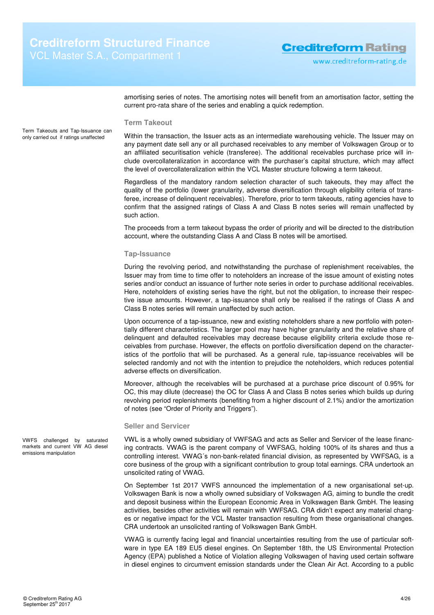amortising series of notes. The amortising notes will benefit from an amortisation factor, setting the current pro-rata share of the series and enabling a quick redemption.

### **Term Takeout**

Term Takeouts and Tap-Issuance can only carried out if ratings unaffected

Within the transaction, the Issuer acts as an intermediate warehousing vehicle. The Issuer may on any payment date sell any or all purchased receivables to any member of Volkswagen Group or to an affiliated securitisation vehicle (transferee). The additional receivables purchase price will include overcollateralization in accordance with the purchaser's capital structure, which may affect the level of overcollateralization within the VCL Master structure following a term takeout.

Regardless of the mandatory random selection character of such takeouts, they may affect the quality of the portfolio (lower granularity, adverse diversification through eligibility criteria of transferee, increase of delinquent receivables). Therefore, prior to term takeouts, rating agencies have to confirm that the assigned ratings of Class A and Class B notes series will remain unaffected by such action.

The proceeds from a term takeout bypass the order of priority and will be directed to the distribution account, where the outstanding Class A and Class B notes will be amortised.

#### **Tap-Issuance**

During the revolving period, and notwithstanding the purchase of replenishment receivables, the Issuer may from time to time offer to noteholders an increase of the issue amount of existing notes series and/or conduct an issuance of further note series in order to purchase additional receivables. Here, noteholders of existing series have the right, but not the obligation, to increase their respective issue amounts. However, a tap-issuance shall only be realised if the ratings of Class A and Class B notes series will remain unaffected by such action.

Upon occurrence of a tap-issuance, new and existing noteholders share a new portfolio with potentially different characteristics. The larger pool may have higher granularity and the relative share of delinquent and defaulted receivables may decrease because eligibility criteria exclude those receivables from purchase. However, the effects on portfolio diversification depend on the characteristics of the portfolio that will be purchased. As a general rule, tap-issuance receivables will be selected randomly and not with the intention to prejudice the noteholders, which reduces potential adverse effects on diversification.

Moreover, although the receivables will be purchased at a purchase price discount of 0.95% for OC, this may dilute (decrease) the OC for Class A and Class B notes series which builds up during revolving period replenishments (benefiting from a higher discount of 2.1%) and/or the amortization of notes (see "Order of Priority and Triggers").

### **Seller and Servicer**

VWL is a wholly owned subsidiary of VWFSAG and acts as Seller and Servicer of the lease financing contracts. VWAG is the parent company of VWFSAG, holding 100% of its shares and thus a controlling interest. VWAG´s non-bank-related financial division, as represented by VWFSAG, is a core business of the group with a significant contribution to group total earnings. CRA undertook an unsolicited rating of VWAG.

On September 1st 2017 VWFS announced the implementation of a new organisational set-up. Volkswagen Bank is now a wholly owned subsidiary of Volkswagen AG, aiming to bundle the credit and deposit business within the European Economic Area in Volkswagen Bank GmbH. The leasing activities, besides other activities will remain with VWFSAG. CRA didn't expect any material changes or negative impact for the VCL Master transaction resulting from these organisational changes. CRA undertook an unsolicited ranting of Volkswagen Bank GmbH.

VWAG is currently facing legal and financial uncertainties resulting from the use of particular software in type EA 189 EU5 diesel engines. On September 18th, the US Environmental Protection Agency (EPA) published a Notice of Violation alleging Volkswagen of having used certain software in diesel engines to circumvent emission standards under the Clean Air Act. According to a public

VWFS challenged by saturated markets and current VW AG diesel emissions manipulation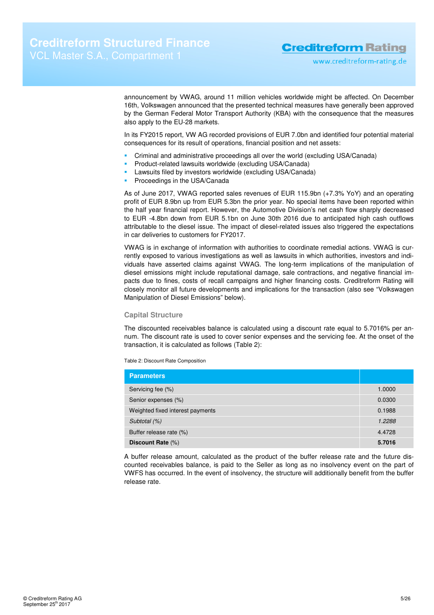announcement by VWAG, around 11 million vehicles worldwide might be affected. On December 16th, Volkswagen announced that the presented technical measures have generally been approved by the German Federal Motor Transport Authority (KBA) with the consequence that the measures also apply to the EU-28 markets.

In its FY2015 report, VW AG recorded provisions of EUR 7.0bn and identified four potential material consequences for its result of operations, financial position and net assets:

- Criminal and administrative proceedings all over the world (excluding USA/Canada)
- Product-related lawsuits worldwide (excluding USA/Canada)
- Lawsuits filed by investors worldwide (excluding USA/Canada)
	- Proceedings in the USA/Canada

As of June 2017, VWAG reported sales revenues of EUR 115.9bn (+7.3% YoY) and an operating profit of EUR 8.9bn up from EUR 5.3bn the prior year. No special items have been reported within the half year financial report. However, the Automotive Division's net cash flow sharply decreased to EUR -4.8bn down from EUR 5.1bn on June 30th 2016 due to anticipated high cash outflows attributable to the diesel issue. The impact of diesel-related issues also triggered the expectations in car deliveries to customers for FY2017.

VWAG is in exchange of information with authorities to coordinate remedial actions. VWAG is currently exposed to various investigations as well as lawsuits in which authorities, investors and individuals have asserted claims against VWAG. The long-term implications of the manipulation of diesel emissions might include reputational damage, sale contractions, and negative financial impacts due to fines, costs of recall campaigns and higher financing costs. Creditreform Rating will closely monitor all future developments and implications for the transaction (also see "Volkswagen Manipulation of Diesel Emissions" below).

### **Capital Structure**

The discounted receivables balance is calculated using a discount rate equal to 5.7016% per annum. The discount rate is used to cover senior expenses and the servicing fee. At the onset of the transaction, it is calculated as follows (Table 2):

Table 2: Discount Rate Composition

| <b>Parameters</b>                |        |
|----------------------------------|--------|
| Servicing fee (%)                | 1.0000 |
| Senior expenses (%)              | 0.0300 |
| Weighted fixed interest payments | 0.1988 |
| Subtotal (%)                     | 1.2288 |
| Buffer release rate (%)          | 4.4728 |
| Discount Rate (%)                | 5.7016 |

A buffer release amount, calculated as the product of the buffer release rate and the future discounted receivables balance, is paid to the Seller as long as no insolvency event on the part of VWFS has occurred. In the event of insolvency, the structure will additionally benefit from the buffer release rate.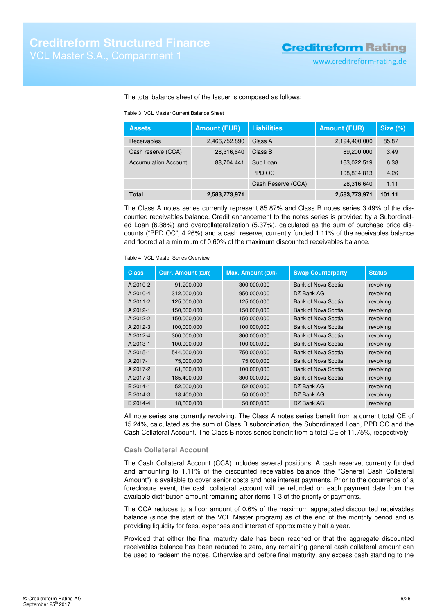### The total balance sheet of the Issuer is composed as follows:

Table 3: VCL Master Current Balance Sheet

| <b>Assets</b>               | <b>Amount (EUR)</b> | <b>Liabilities</b> | <b>Amount (EUR)</b> | Size $(\%)$ |
|-----------------------------|---------------------|--------------------|---------------------|-------------|
| <b>Receivables</b>          | 2,466,752,890       | Class A            | 2,194,400,000       | 85.87       |
| Cash reserve (CCA)          | 28,316,640          | Class B            | 89,200,000          | 3.49        |
| <b>Accumulation Account</b> | 88,704,441          | Sub Loan           | 163,022,519         | 6.38        |
|                             |                     | PPD OC             | 108,834,813         | 4.26        |
|                             |                     | Cash Reserve (CCA) | 28,316,640          | 1.11        |
| <b>Total</b>                | 2,583,773,971       |                    | 2,583,773,971       | 101.11      |

The Class A notes series currently represent 85.87% and Class B notes series 3.49% of the discounted receivables balance. Credit enhancement to the notes series is provided by a Subordinated Loan (6.38%) and overcollateralization (5.37%), calculated as the sum of purchase price discounts ("PPD OC", 4.26%) and a cash reserve, currently funded 1.11% of the receivables balance and floored at a minimum of 0.60% of the maximum discounted receivables balance.

Table 4: VCL Master Series Overview

| <b>Class</b> | <b>Curr. Amount (EUR)</b> | <b>Max. Amount (EUR)</b> | <b>Swap Counterparty</b>   | <b>Status</b> |
|--------------|---------------------------|--------------------------|----------------------------|---------------|
| A 2010-2     | 91.200.000                | 300.000.000              | Bank of Nova Scotia        | revolving     |
| A 2010-4     | 312,000,000               | 950,000,000              | DZ Bank AG                 | revolving     |
| A 2011-2     | 125,000,000               | 125,000,000              | Bank of Nova Scotia        | revolving     |
| A 2012-1     | 150,000,000               | 150,000,000              | Bank of Nova Scotia        | revolving     |
| A 2012-2     | 150,000,000               | 150,000,000              | Bank of Nova Scotia        | revolving     |
| A 2012-3     | 100,000,000               | 100,000,000              | Bank of Nova Scotia        | revolving     |
| A 2012-4     | 300,000,000               | 300,000,000              | Bank of Nova Scotia        | revolving     |
| A 2013-1     | 100,000,000               | 100,000,000              | <b>Bank of Nova Scotia</b> | revolving     |
| A 2015-1     | 544,000,000               | 750,000,000              | Bank of Nova Scotia        | revolving     |
| A 2017-1     | 75,000,000                | 75,000,000               | Bank of Nova Scotia        | revolving     |
| A 2017-2     | 61,800,000                | 100,000,000              | Bank of Nova Scotia        | revolving     |
| A 2017-3     | 185,400,000               | 300,000,000              | Bank of Nova Scotia        | revolving     |
| B 2014-1     | 52,000,000                | 52,000,000               | DZ Bank AG                 | revolving     |
| B 2014-3     | 18,400,000                | 50,000,000               | DZ Bank AG                 | revolving     |
| B 2014-4     | 18,800,000                | 50,000,000               | DZ Bank AG                 | revolving     |

All note series are currently revolving. The Class A notes series benefit from a current total CE of 15.24%, calculated as the sum of Class B subordination, the Subordinated Loan, PPD OC and the Cash Collateral Account. The Class B notes series benefit from a total CE of 11.75%, respectively.

### **Cash Collateral Account**

The Cash Collateral Account (CCA) includes several positions. A cash reserve, currently funded and amounting to 1.11% of the discounted receivables balance (the "General Cash Collateral Amount") is available to cover senior costs and note interest payments. Prior to the occurrence of a foreclosure event, the cash collateral account will be refunded on each payment date from the available distribution amount remaining after items 1-3 of the priority of payments.

The CCA reduces to a floor amount of 0.6% of the maximum aggregated discounted receivables balance (since the start of the VCL Master program) as of the end of the monthly period and is providing liquidity for fees, expenses and interest of approximately half a year.

Provided that either the final maturity date has been reached or that the aggregate discounted receivables balance has been reduced to zero, any remaining general cash collateral amount can be used to redeem the notes. Otherwise and before final maturity, any excess cash standing to the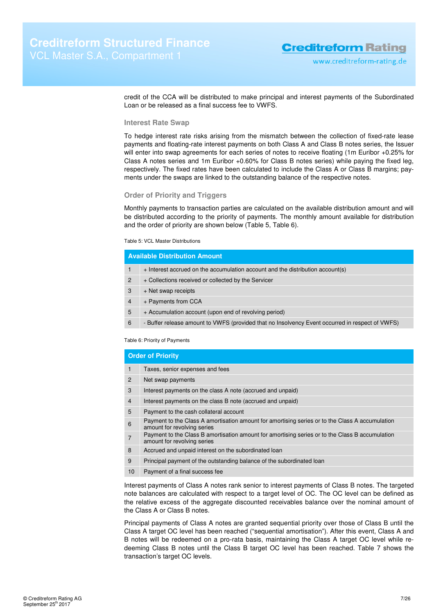credit of the CCA will be distributed to make principal and interest payments of the Subordinated Loan or be released as a final success fee to VWFS.

### **Interest Rate Swap**

To hedge interest rate risks arising from the mismatch between the collection of fixed-rate lease payments and floating-rate interest payments on both Class A and Class B notes series, the Issuer will enter into swap agreements for each series of notes to receive floating (1m Euribor +0.25% for Class A notes series and 1m Euribor +0.60% for Class B notes series) while paying the fixed leg, respectively. The fixed rates have been calculated to include the Class A or Class B margins; payments under the swaps are linked to the outstanding balance of the respective notes.

### **Order of Priority and Triggers**

Monthly payments to transaction parties are calculated on the available distribution amount and will be distributed according to the priority of payments. The monthly amount available for distribution and the order of priority are shown below (Table 5, Table 6).

#### Table 5: VCL Master Distributions

| <b>Available Distribution Amount</b> |                                                                                                 |  |
|--------------------------------------|-------------------------------------------------------------------------------------------------|--|
| 1                                    | + Interest accrued on the accumulation account and the distribution account(s)                  |  |
| $\overline{2}$                       | + Collections received or collected by the Servicer                                             |  |
| 3                                    | + Net swap receipts                                                                             |  |
| $\overline{4}$                       | + Payments from CCA                                                                             |  |
| 5                                    | + Accumulation account (upon end of revolving period)                                           |  |
| 6                                    | - Buffer release amount to VWFS (provided that no Insolvency Event occurred in respect of VWFS) |  |

#### Table 6: Priority of Payments

|                | <b>Order of Priority</b>                                                                                                       |  |  |  |
|----------------|--------------------------------------------------------------------------------------------------------------------------------|--|--|--|
| $\mathbf{1}$   | Taxes, senior expenses and fees                                                                                                |  |  |  |
| $\overline{2}$ | Net swap payments                                                                                                              |  |  |  |
| 3              | Interest payments on the class A note (accrued and unpaid)                                                                     |  |  |  |
| 4              | Interest payments on the class B note (accrued and unpaid)                                                                     |  |  |  |
| 5              | Payment to the cash collateral account                                                                                         |  |  |  |
| 6              | Payment to the Class A amortisation amount for amortising series or to the Class A accumulation<br>amount for revolving series |  |  |  |
| $\overline{7}$ | Payment to the Class B amortisation amount for amortising series or to the Class B accumulation<br>amount for revolving series |  |  |  |
| 8              | Accrued and unpaid interest on the subordinated loan                                                                           |  |  |  |
| 9              | Principal payment of the outstanding balance of the subordinated loan                                                          |  |  |  |
| 10             | Payment of a final success fee                                                                                                 |  |  |  |

Interest payments of Class A notes rank senior to interest payments of Class B notes. The targeted note balances are calculated with respect to a target level of OC. The OC level can be defined as the relative excess of the aggregate discounted receivables balance over the nominal amount of the Class A or Class B notes.

Principal payments of Class A notes are granted sequential priority over those of Class B until the Class A target OC level has been reached ("sequential amortisation"). After this event, Class A and B notes will be redeemed on a pro-rata basis, maintaining the Class A target OC level while redeeming Class B notes until the Class B target OC level has been reached. Table 7 shows the transaction's target OC levels.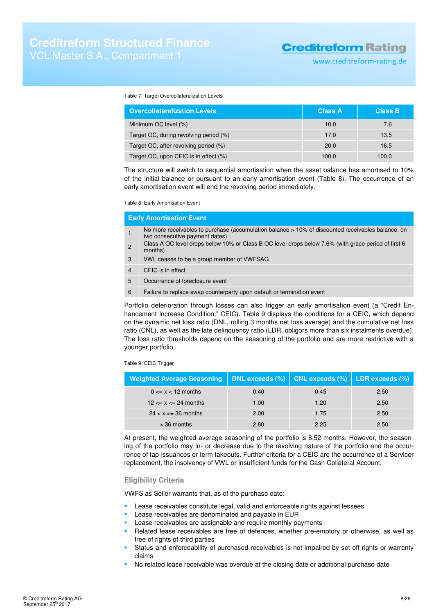www.creditreform-rating.de

#### Table 7: Target Overcollateralization Levels

| <b>Overcollateralization Levels</b>    | <b>Class A</b> | <b>Class B</b> |
|----------------------------------------|----------------|----------------|
| Minimum OC level (%)                   | 10.0           | 7.6            |
| Target OC, during revolving period (%) | 17.0           | 13.5           |
| Target OC, after revolving period (%)  | 20.0           | 16.5           |
| Target OC, upon CEIC is in effect (%)  | 100.0          | 100.0          |

The structure will switch to sequential amortisation when the asset balance has amortised to 10% of the initial balance or pursuant to an early amortisation event (Table 8). The occurrence of an early amortisation event will end the revolving period immediately.

Table 8: Early Amortisation Event

|    | <b>Early Amortisation Event</b>                                                                                                     |
|----|-------------------------------------------------------------------------------------------------------------------------------------|
|    | No more receivables to purchase (accumulation balance > 10% of discounted receivables balance, on<br>two consecutive payment dates) |
| 2  | Class A OC level drops below 10% or Class B OC level drops below 7.6% (with grace period of first 6<br>months)                      |
| 3  | VWL ceases to be a group member of VWFSAG                                                                                           |
| 4  | CEIC is in effect                                                                                                                   |
| 5  | Occurrence of foreclosure event                                                                                                     |
| 6. | Failure to replace swap counterparty upon default or termination event                                                              |
|    |                                                                                                                                     |

Portfolio deterioration through losses can also trigger an early amortisation event (a "Credit Enhancement Increase Condition," CEIC). Table 9 displays the conditions for a CEIC, which depend on the dynamic net loss ratio (DNL, rolling 3 months net loss average) and the cumulative net loss ratio (CNL), as well as the late delinquency ratio (LDR, obligors more than six instalments overdue). The loss ratio thresholds depend on the seasoning of the portfolio and are more restrictive with a younger portfolio.

Table 9: CEIC Trigger

| <b>Weighted Average Seasoning</b> |      | DNL exceeds $(\%)$   CNL exceeds $(\%)$ | LDR exceeds (%) |
|-----------------------------------|------|-----------------------------------------|-----------------|
| $0 \le x \le 12$ months           | 0.40 | 0.45                                    | 2.50            |
| $12 \le x \le 24$ months          | 1.00 | 1.20                                    | 2.50            |
| $24 < x \leq 36$ months           | 2.00 | 1.75                                    | 2.50            |
| $>$ 36 months                     | 2.80 | 2.25                                    | 2.50            |

At present, the weighted average seasoning of the portfolio is 8.52 months. However, the seasoning of the portfolio may in- or decrease due to the revolving nature of the portfolio and the occurrence of tap-issuances or term takeouts. Further criteria for a CEIC are the occurrence of a Servicer replacement, the insolvency of VWL or insufficient funds for the Cash Collateral Account.

### **Eligibility Criteria**

VWFS as Seller warrants that, as of the purchase date:

- **Lease receivables constitute legal, valid and enforceable rights against lessees**
- Lease receivables are denominated and payable in EUR
- Lease receivables are assignable and require monthly payments
- Related lease receivables are free of defences, whether pre-emptory or otherwise, as well as free of rights of third parties
- Status and enforceability of purchased receivables is not impaired by set-off rights or warranty claims
- No related lease receivable was overdue at the closing date or additional purchase date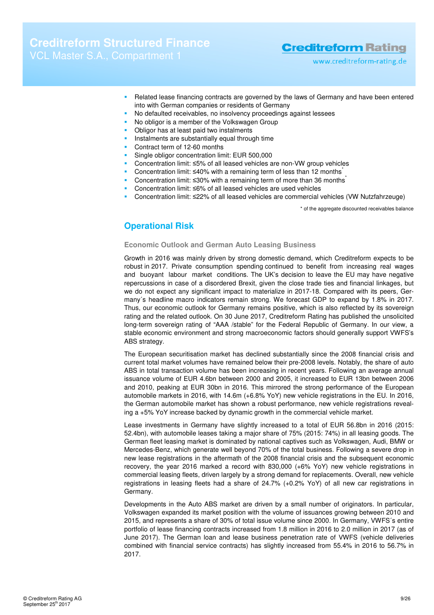# **Creditreform Structured Finance**

### **Creditreform Rating**

- www.creditreform-rating.de
- Related lease financing contracts are governed by the laws of Germany and have been entered into with German companies or residents of Germany
- No defaulted receivables, no insolvency proceedings against lessees
- No obligor is a member of the Volkswagen Group
- Obligor has at least paid two instalments
- Instalments are substantially equal through time
- Contract term of 12-60 months
- Single obligor concentration limit: EUR 500,000
- Concentration limit: ≤5% of all leased vehicles are non-VW group vehicles
- Concentration limit: ≤40% with a remaining term of less than 12 months<sup>\*</sup>
- Concentration limit: ≤30% with a remaining term of more than 36 months<sup>\*</sup>
- Concentration limit: ≤6% of all leased vehicles are used vehicles
- Concentration limit: ≤22% of all leased vehicles are commercial vehicles (VW Nutzfahrzeuge)

\* of the aggregate discounted receivables balance

### **Operational Risk**

### **Economic Outlook and German Auto Leasing Business**

Growth in 2016 was mainly driven by strong domestic demand, which Creditreform expects to be robust in 2017. Private consumption spending continued to benefit from increasing real wages and buoyant labour market conditions. The UK's decision to leave the EU may have negative repercussions in case of a disordered Brexit, given the close trade ties and financial linkages, but we do not expect any significant impact to materialize in 2017-18. Compared with its peers, Germany´s headline macro indicators remain strong. We forecast GDP to expand by 1.8% in 2017. Thus, our economic outlook for Germany remains positive, which is also reflected by its sovereign rating and the related outlook. On 30 June 2017, Creditreform Rating has published the unsolicited long-term sovereign rating of "AAA /stable" for the Federal Republic of Germany. In our view, a stable economic environment and strong macroeconomic factors should generally support VWFS's ABS strategy.

The European securitisation market has declined substantially since the 2008 financial crisis and current total market volumes have remained below their pre-2008 levels. Notably, the share of auto ABS in total transaction volume has been increasing in recent years. Following an average annual issuance volume of EUR 4.6bn between 2000 and 2005, it increased to EUR 13bn between 2006 and 2010, peaking at EUR 30bn in 2016. This mirrored the strong performance of the European automobile markets in 2016, with 14.6m (+6.8% YoY) new vehicle registrations in the EU. In 2016, the German automobile market has shown a robust performance, new vehicle registrations revealing a +5% YoY increase backed by dynamic growth in the commercial vehicle market.

Lease investments in Germany have slightly increased to a total of EUR 56.8bn in 2016 (2015: 52.4bn), with automobile leases taking a major share of 75% (2015: 74%) in all leasing goods. The German fleet leasing market is dominated by national captives such as Volkswagen, Audi, BMW or Mercedes-Benz, which generate well beyond 70% of the total business. Following a severe drop in new lease registrations in the aftermath of the 2008 financial crisis and the subsequent economic recovery, the year 2016 marked a record with 830,000 (+6% YoY) new vehicle registrations in commercial leasing fleets, driven largely by a strong demand for replacements. Overall, new vehicle registrations in leasing fleets had a share of 24.7% (+0.2% YoY) of all new car registrations in Germany.

Developments in the Auto ABS market are driven by a small number of originators. In particular, Volkswagen expanded its market position with the volume of issuances growing between 2010 and 2015, and represents a share of 30% of total issue volume since 2000. In Germany, VWFS´s entire portfolio of lease financing contracts increased from 1.8 million in 2016 to 2.0 million in 2017 (as of June 2017). The German loan and lease business penetration rate of VWFS (vehicle deliveries combined with financial service contracts) has slightly increased from 55.4% in 2016 to 56.7% in 2017.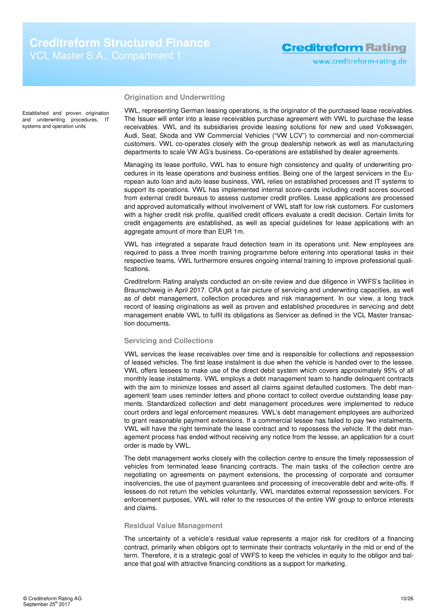**Origination and Underwriting** 

Established and proven origination and underwriting procedures, IT systems and operation units

VWL, representing German leasing operations, is the originator of the purchased lease receivables. The Issuer will enter into a lease receivables purchase agreement with VWL to purchase the lease receivables. VWL and its subsidiaries provide leasing solutions for new and used Volkswagen, Audi, Seat, Skoda and VW Commercial Vehicles ("VW LCV") to commercial and non-commercial customers. VWL co-operates closely with the group dealership network as well as manufacturing departments to scale VW AG's business. Co-operations are established by dealer agreements.

Managing its lease portfolio, VWL has to ensure high consistency and quality of underwriting procedures in its lease operations and business entities. Being one of the largest servicers in the European auto loan and auto lease business, VWL relies on established processes and IT systems to support its operations. VWL has implemented internal score-cards including credit scores sourced from external credit bureaus to assess customer credit profiles. Lease applications are processed and approved automatically without involvement of VWL staff for low risk customers. For customers with a higher credit risk profile, qualified credit officers evaluate a credit decision. Certain limits for credit engagements are established, as well as special guidelines for lease applications with an aggregate amount of more than EUR 1m.

VWL has integrated a separate fraud detection team in its operations unit. New employees are required to pass a three month training programme before entering into operational tasks in their respective teams. VWL furthermore ensures ongoing internal training to improve professional qualifications.

Creditreform Rating analysts conducted an on-site review and due diligence in VWFS's facilities in Braunschweig in April 2017. CRA got a fair picture of servicing and underwriting capacities, as well as of debt management, collection procedures and risk management. In our view, a long track record of leasing originations as well as proven and established procedures in servicing and debt management enable VWL to fulfil its obligations as Servicer as defined in the VCL Master transaction documents.

### **Servicing and Collections**

VWL services the lease receivables over time and is responsible for collections and repossession of leased vehicles. The first lease instalment is due when the vehicle is handed over to the lessee. VWL offers lessees to make use of the direct debit system which covers approximately 95% of all monthly lease instalments. VWL employs a debt management team to handle delinquent contracts with the aim to minimize losses and assert all claims against defaulted customers. The debt management team uses reminder letters and phone contact to collect overdue outstanding lease payments. Standardized collection and debt management procedures were implemented to reduce court orders and legal enforcement measures. VWL's debt management employees are authorized to grant reasonable payment extensions. If a commercial lessee has failed to pay two instalments, VWL will have the right terminate the lease contract and to repossess the vehicle. If the debt management process has ended without receiving any notice from the lessee, an application for a court order is made by VWL.

The debt management works closely with the collection centre to ensure the timely repossession of vehicles from terminated lease financing contracts. The main tasks of the collection centre are negotiating on agreements on payment extensions, the processing of corporate and consumer insolvencies, the use of payment guarantees and processing of irrecoverable debt and write-offs. If lessees do not return the vehicles voluntarily, VWL mandates external repossession servicers. For enforcement purposes, VWL will refer to the resources of the entire VW group to enforce interests and claims.

### **Residual Value Management**

The uncertainty of a vehicle's residual value represents a major risk for creditors of a financing contract, primarily when obligors opt to terminate their contracts voluntarily in the mid or end of the term. Therefore, it is a strategic goal of VWFS to keep the vehicles in equity to the obligor and balance that goal with attractive financing conditions as a support for marketing.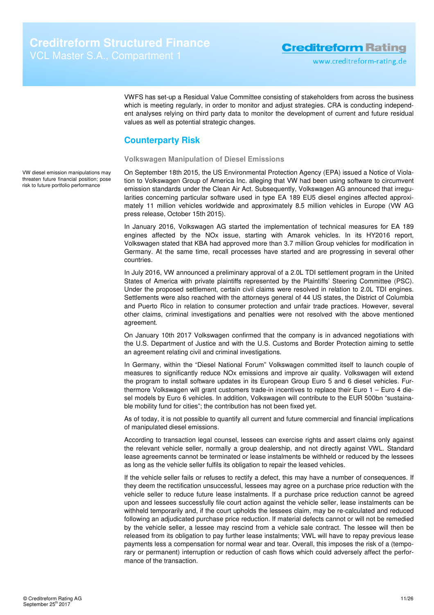VWFS has set-up a Residual Value Committee consisting of stakeholders from across the business which is meeting regularly, in order to monitor and adjust strategies. CRA is conducting independent analyses relying on third party data to monitor the development of current and future residual values as well as potential strategic changes.

### **Counterparty Risk**

### **Volkswagen Manipulation of Diesel Emissions**

On September 18th 2015, the US Environmental Protection Agency (EPA) issued a Notice of Violation to Volkswagen Group of America Inc. alleging that VW had been using software to circumvent emission standards under the Clean Air Act. Subsequently, Volkswagen AG announced that irregularities concerning particular software used in type EA 189 EU5 diesel engines affected approximately 11 million vehicles worldwide and approximately 8.5 million vehicles in Europe (VW AG press release, October 15th 2015).

In January 2016, Volkswagen AG started the implementation of technical measures for EA 189 engines affected by the NOx issue, starting with Amarok vehicles. In its HY2016 report, Volkswagen stated that KBA had approved more than 3.7 million Group vehicles for modification in Germany. At the same time, recall processes have started and are progressing in several other countries.

In July 2016, VW announced a preliminary approval of a 2.0L TDI settlement program in the United States of America with private plaintiffs represented by the Plaintiffs' Steering Committee (PSC). Under the proposed settlement, certain civil claims were resolved in relation to 2.0L TDI engines. Settlements were also reached with the attorneys general of 44 US states, the District of Columbia and Puerto Rico in relation to consumer protection and unfair trade practices. However, several other claims, criminal investigations and penalties were not resolved with the above mentioned agreement.

On January 10th 2017 Volkswagen confirmed that the company is in advanced negotiations with the U.S. Department of Justice and with the U.S. Customs and Border Protection aiming to settle an agreement relating civil and criminal investigations.

In Germany, within the "Diesel National Forum" Volkswagen committed itself to launch couple of measures to significantly reduce NOx emissions and improve air quality. Volkswagen will extend the program to install software updates in its European Group Euro 5 and 6 diesel vehicles. Furthermore Volkswagen will grant customers trade-in incentives to replace their Euro 1 – Euro 4 diesel models by Euro 6 vehicles. In addition, Volkswagen will contribute to the EUR 500bn "sustainable mobility fund for cities"; the contribution has not been fixed yet.

As of today, it is not possible to quantify all current and future commercial and financial implications of manipulated diesel emissions.

According to transaction legal counsel, lessees can exercise rights and assert claims only against the relevant vehicle seller, normally a group dealership, and not directly against VWL. Standard lease agreements cannot be terminated or lease instalments be withheld or reduced by the lessees as long as the vehicle seller fulfils its obligation to repair the leased vehicles.

If the vehicle seller fails or refuses to rectify a defect, this may have a number of consequences. If they deem the rectification unsuccessful, lessees may agree on a purchase price reduction with the vehicle seller to reduce future lease instalments. If a purchase price reduction cannot be agreed upon and lessees successfully file court action against the vehicle seller, lease instalments can be withheld temporarily and, if the court upholds the lessees claim, may be re-calculated and reduced following an adjudicated purchase price reduction. If material defects cannot or will not be remedied by the vehicle seller, a lessee may rescind from a vehicle sale contract. The lessee will then be released from its obligation to pay further lease instalments; VWL will have to repay previous lease payments less a compensation for normal wear and tear. Overall, this imposes the risk of a (temporary or permanent) interruption or reduction of cash flows which could adversely affect the performance of the transaction.

VW diesel emission manipulations may threaten future financial position; pose risk to future portfolio performance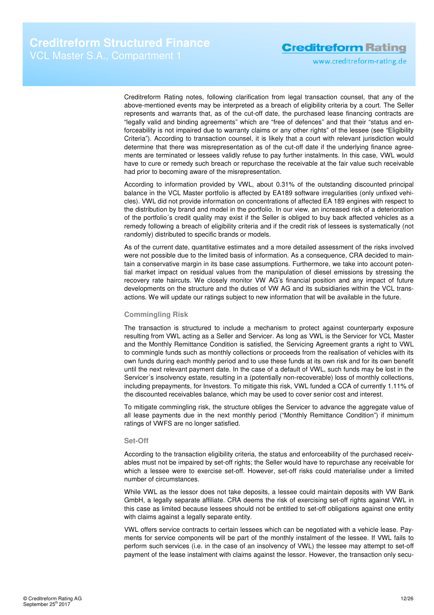www.creditreform-rating.de

Creditreform Rating notes, following clarification from legal transaction counsel, that any of the above-mentioned events may be interpreted as a breach of eligibility criteria by a court. The Seller represents and warrants that, as of the cut-off date, the purchased lease financing contracts are "legally valid and binding agreements" which are "free of defences" and that their "status and enforceability is not impaired due to warranty claims or any other rights" of the lessee (see "Eligibility Criteria"). According to transaction counsel, it is likely that a court with relevant jurisdiction would determine that there was misrepresentation as of the cut-off date if the underlying finance agreements are terminated or lessees validly refuse to pay further instalments. In this case, VWL would have to cure or remedy such breach or repurchase the receivable at the fair value such receivable had prior to becoming aware of the misrepresentation.

According to information provided by VWL, about 0.31% of the outstanding discounted principal balance in the VCL Master portfolio is affected by EA189 software irregularities (only unfixed vehicles). VWL did not provide information on concentrations of affected EA 189 engines with respect to the distribution by brand and model in the portfolio. In our view, an increased risk of a deterioration of the portfolio´s credit quality may exist if the Seller is obliged to buy back affected vehicles as a remedy following a breach of eligibility criteria and if the credit risk of lessees is systematically (not randomly) distributed to specific brands or models.

As of the current date, quantitative estimates and a more detailed assessment of the risks involved were not possible due to the limited basis of information. As a consequence, CRA decided to maintain a conservative margin in its base case assumptions. Furthermore, we take into account potential market impact on residual values from the manipulation of diesel emissions by stressing the recovery rate haircuts. We closely monitor VW AG's financial position and any impact of future developments on the structure and the duties of VW AG and its subsidiaries within the VCL transactions. We will update our ratings subject to new information that will be available in the future.

### **Commingling Risk**

The transaction is structured to include a mechanism to protect against counterparty exposure resulting from VWL acting as a Seller and Servicer. As long as VWL is the Servicer for VCL Master and the Monthly Remittance Condition is satisfied, the Servicing Agreement grants a right to VWL to commingle funds such as monthly collections or proceeds from the realisation of vehicles with its own funds during each monthly period and to use these funds at its own risk and for its own benefit until the next relevant payment date. In the case of a default of VWL, such funds may be lost in the Servicer´s insolvency estate, resulting in a (potentially non-recoverable) loss of monthly collections, including prepayments, for Investors. To mitigate this risk, VWL funded a CCA of currently 1.11% of the discounted receivables balance, which may be used to cover senior cost and interest.

To mitigate commingling risk, the structure obliges the Servicer to advance the aggregate value of all lease payments due in the next monthly period ("Monthly Remittance Condition") if minimum ratings of VWFS are no longer satisfied.

#### **Set-Off**

According to the transaction eligibility criteria, the status and enforceability of the purchased receivables must not be impaired by set-off rights; the Seller would have to repurchase any receivable for which a lessee were to exercise set-off. However, set-off risks could materialise under a limited number of circumstances.

While VWL as the lessor does not take deposits, a lessee could maintain deposits with VW Bank GmbH, a legally separate affiliate. CRA deems the risk of exercising set-off rights against VWL in this case as limited because lessees should not be entitled to set-off obligations against one entity with claims against a legally separate entity.

VWL offers service contracts to certain lessees which can be negotiated with a vehicle lease. Payments for service components will be part of the monthly instalment of the lessee. If VWL fails to perform such services (i.e. in the case of an insolvency of VWL) the lessee may attempt to set-off payment of the lease instalment with claims against the lessor. However, the transaction only secu-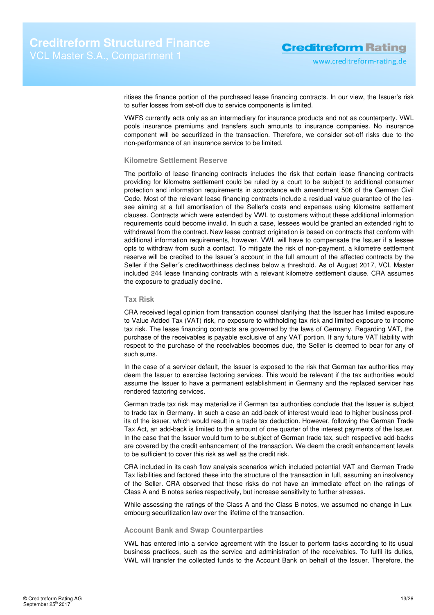ritises the finance portion of the purchased lease financing contracts. In our view, the Issuer's risk to suffer losses from set-off due to service components is limited.

VWFS currently acts only as an intermediary for insurance products and not as counterparty. VWL pools insurance premiums and transfers such amounts to insurance companies. No insurance component will be securitized in the transaction. Therefore, we consider set-off risks due to the non-performance of an insurance service to be limited.

### **Kilometre Settlement Reserve**

The portfolio of lease financing contracts includes the risk that certain lease financing contracts providing for kilometre settlement could be ruled by a court to be subject to additional consumer protection and information requirements in accordance with amendment 506 of the German Civil Code. Most of the relevant lease financing contracts include a residual value guarantee of the lessee aiming at a full amortisation of the Seller's costs and expenses using kilometre settlement clauses. Contracts which were extended by VWL to customers without these additional information requirements could become invalid. In such a case, lessees would be granted an extended right to withdrawal from the contract. New lease contract origination is based on contracts that conform with additional information requirements, however. VWL will have to compensate the Issuer if a lessee opts to withdraw from such a contact. To mitigate the risk of non-payment, a kilometre settlement reserve will be credited to the Issuer´s account in the full amount of the affected contracts by the Seller if the Seller´s creditworthiness declines below a threshold. As of August 2017, VCL Master included 244 lease financing contracts with a relevant kilometre settlement clause. CRA assumes the exposure to gradually decline.

#### **Tax Risk**

CRA received legal opinion from transaction counsel clarifying that the Issuer has limited exposure to Value Added Tax (VAT) risk, no exposure to withholding tax risk and limited exposure to income tax risk. The lease financing contracts are governed by the laws of Germany. Regarding VAT, the purchase of the receivables is payable exclusive of any VAT portion. If any future VAT liability with respect to the purchase of the receivables becomes due, the Seller is deemed to bear for any of such sums.

In the case of a servicer default, the Issuer is exposed to the risk that German tax authorities may deem the Issuer to exercise factoring services. This would be relevant if the tax authorities would assume the Issuer to have a permanent establishment in Germany and the replaced servicer has rendered factoring services.

German trade tax risk may materialize if German tax authorities conclude that the Issuer is subject to trade tax in Germany. In such a case an add-back of interest would lead to higher business profits of the issuer, which would result in a trade tax deduction. However, following the German Trade Tax Act, an add-back is limited to the amount of one quarter of the interest payments of the Issuer. In the case that the Issuer would turn to be subject of German trade tax, such respective add-backs are covered by the credit enhancement of the transaction. We deem the credit enhancement levels to be sufficient to cover this risk as well as the credit risk.

CRA included in its cash flow analysis scenarios which included potential VAT and German Trade Tax liabilities and factored these into the structure of the transaction in full, assuming an insolvency of the Seller. CRA observed that these risks do not have an immediate effect on the ratings of Class A and B notes series respectively, but increase sensitivity to further stresses.

While assessing the ratings of the Class A and the Class B notes, we assumed no change in Luxembourg securitization law over the lifetime of the transaction.

### **Account Bank and Swap Counterparties**

VWL has entered into a service agreement with the Issuer to perform tasks according to its usual business practices, such as the service and administration of the receivables. To fulfil its duties, VWL will transfer the collected funds to the Account Bank on behalf of the Issuer. Therefore, the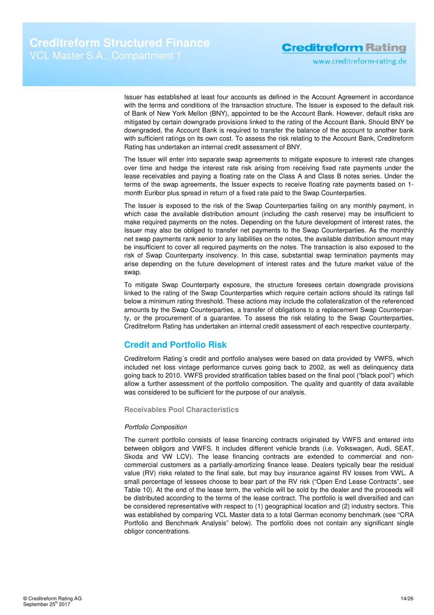www.creditreform-rating.de

Issuer has established at least four accounts as defined in the Account Agreement in accordance with the terms and conditions of the transaction structure. The Issuer is exposed to the default risk of Bank of New York Mellon (BNY), appointed to be the Account Bank. However, default risks are mitigated by certain downgrade provisions linked to the rating of the Account Bank. Should BNY be downgraded, the Account Bank is required to transfer the balance of the account to another bank with sufficient ratings on its own cost. To assess the risk relating to the Account Bank, Creditreform Rating has undertaken an internal credit assessment of BNY.

The Issuer will enter into separate swap agreements to mitigate exposure to interest rate changes over time and hedge the interest rate risk arising from receiving fixed rate payments under the lease receivables and paying a floating rate on the Class A and Class B notes series. Under the terms of the swap agreements, the Issuer expects to receive floating rate payments based on 1 month Euribor plus spread in return of a fixed rate paid to the Swap Counterparties.

The Issuer is exposed to the risk of the Swap Counterparties failing on any monthly payment, in which case the available distribution amount (including the cash reserve) may be insufficient to make required payments on the notes. Depending on the future development of interest rates, the Issuer may also be obliged to transfer net payments to the Swap Counterparties. As the monthly net swap payments rank senior to any liabilities on the notes, the available distribution amount may be insufficient to cover all required payments on the notes. The transaction is also exposed to the risk of Swap Counterparty insolvency. In this case, substantial swap termination payments may arise depending on the future development of interest rates and the future market value of the swap.

To mitigate Swap Counterparty exposure, the structure foresees certain downgrade provisions linked to the rating of the Swap Counterparties which require certain actions should its ratings fall below a minimum rating threshold. These actions may include the collateralization of the referenced amounts by the Swap Counterparties, a transfer of obligations to a replacement Swap Counterparty, or the procurement of a guarantee. To assess the risk relating to the Swap Counterparties, Creditreform Rating has undertaken an internal credit assessment of each respective counterparty.

### **Credit and Portfolio Risk**

Creditreform Rating´s credit and portfolio analyses were based on data provided by VWFS, which included net loss vintage performance curves going back to 2002, as well as delinquency data going back to 2010. VWFS provided stratification tables based on the final pool ("black pool") which allow a further assessment of the portfolio composition. The quality and quantity of data available was considered to be sufficient for the purpose of our analysis.

**Receivables Pool Characteristics** 

### Portfolio Composition

The current portfolio consists of lease financing contracts originated by VWFS and entered into between obligors and VWFS. It includes different vehicle brands (i.e. Volkswagen, Audi, SEAT, Skoda and VW LCV). The lease financing contracts are extended to commercial and noncommercial customers as a partially-amortizing finance lease. Dealers typically bear the residual value (RV) risks related to the final sale, but may buy insurance against RV losses from VWL. A small percentage of lessees choose to bear part of the RV risk ("Open End Lease Contracts", see Table 10). At the end of the lease term, the vehicle will be sold by the dealer and the proceeds will be distributed according to the terms of the lease contract. The portfolio is well diversified and can be considered representative with respect to (1) geographical location and (2) industry sectors. This was established by comparing VCL Master data to a total German economy benchmark (see "CRA Portfolio and Benchmark Analysis" below). The portfolio does not contain any significant single obligor concentrations.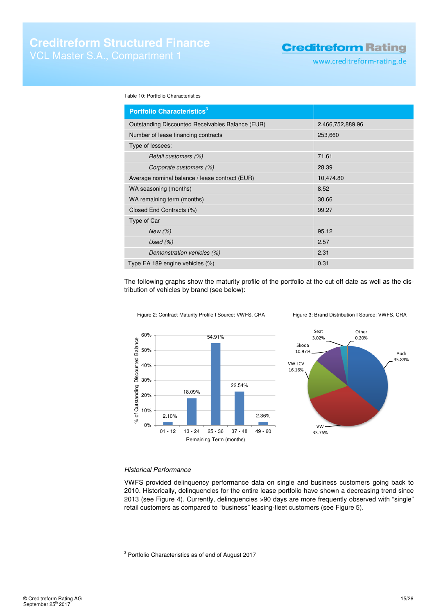www.creditreform-rating.de

Table 10: Portfolio Characteristics

| Portfolio Characteristics <sup>3</sup>           |                  |
|--------------------------------------------------|------------------|
| Outstanding Discounted Receivables Balance (EUR) | 2,466,752,889.96 |
| Number of lease financing contracts              | 253,660          |
| Type of lessees:                                 |                  |
| Retail customers (%)                             | 71.61            |
| Corporate customers (%)                          | 28.39            |
| Average nominal balance / lease contract (EUR)   | 10,474.80        |
| WA seasoning (months)                            | 8.52             |
| WA remaining term (months)                       | 30.66            |
| Closed End Contracts (%)                         | 99.27            |
| Type of Car                                      |                  |
| New $(\%)$                                       | 95.12            |
| Used $(\%)$                                      | 2.57             |
| Demonstration vehicles (%)                       | 2.31             |
| Type EA 189 engine vehicles (%)                  | 0.31             |

The following graphs show the maturity profile of the portfolio at the cut-off date as well as the distribution of vehicles by brand (see below):







### Historical Performance

 $\overline{a}$ 

VWFS provided delinquency performance data on single and business customers going back to 2010. Historically, delinquencies for the entire lease portfolio have shown a decreasing trend since 2013 (see Figure 4). Currently, delinquencies >90 days are more frequently observed with "single" retail customers as compared to "business" leasing-fleet customers (see Figure 5).

 $3$  Portfolio Characteristics as of end of August 2017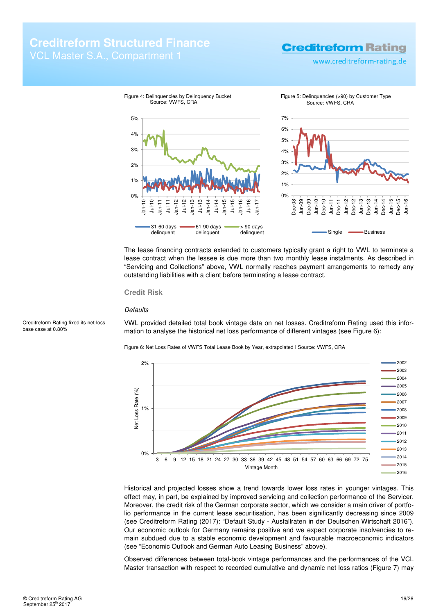# **Creditreform Structured Finance**

# **Creditreform Rating**

www.creditreform-rating.de



The lease financing contracts extended to customers typically grant a right to VWL to terminate a lease contract when the lessee is due more than two monthly lease instalments. As described in "Servicing and Collections" above, VWL normally reaches payment arrangements to remedy any outstanding liabilities with a client before terminating a lease contract.

### **Credit Risk**

### **Defaults**

VWL provided detailed total book vintage data on net losses. Creditreform Rating used this information to analyse the historical net loss performance of different vintages (see Figure 6):

Figure 6: Net Loss Rates of VWFS Total Lease Book by Year, extrapolated I Source: VWFS, CRA



Historical and projected losses show a trend towards lower loss rates in younger vintages. This effect may, in part, be explained by improved servicing and collection performance of the Servicer. Moreover, the credit risk of the German corporate sector, which we consider a main driver of portfolio performance in the current lease securitisation, has been significantly decreasing since 2009 (see Creditreform Rating (2017): "Default Study - Ausfallraten in der Deutschen Wirtschaft 2016"). Our economic outlook for Germany remains positive and we expect corporate insolvencies to remain subdued due to a stable economic development and favourable macroeconomic indicators (see "Economic Outlook and German Auto Leasing Business" above).

Observed differences between total-book vintage performances and the performances of the VCL Master transaction with respect to recorded cumulative and dynamic net loss ratios (Figure 7) may

Creditreform Rating fixed its net-loss base case at 0.80%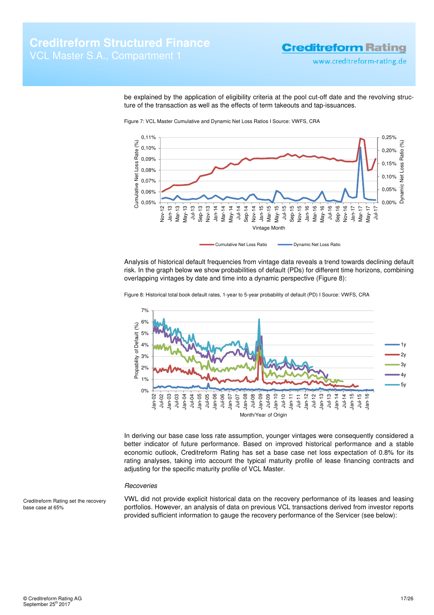www.creditreform-rating.de

0,00% 0,05% 0,10% 0,15% 0,20% 0,25%

Dynamic Net Loss Ratio (%)

ğ amic 춥

-0SS

 $(%)$ **Ratio** 

be explained by the application of eligibility criteria at the pool cut-off date and the revolving structure of the transaction as well as the effects of term takeouts and tap-issuances.



Figure 7: VCL Master Cumulative and Dynamic Net Loss Ratios I Source: VWFS, CRA

Analysis of historical default frequencies from vintage data reveals a trend towards declining default risk. In the graph below we show probabilities of default (PDs) for different time horizons, combining overlapping vintages by date and time into a dynamic perspective (Figure 8):

Vintage Month

Cumulative Net Loss Ratio **Cumulative Net Loss Ratio** 



Figure 8: Historical total book default rates, 1-year to 5-year probability of default (PD) I Source: VWFS, CRA

In deriving our base case loss rate assumption, younger vintages were consequently considered a better indicator of future performance. Based on improved historical performance and a stable economic outlook, Creditreform Rating has set a base case net loss expectation of 0.8% for its rating analyses, taking into account the typical maturity profile of lease financing contracts and adjusting for the specific maturity profile of VCL Master.

### **Recoveries**

Creditreform Rating set the recovery base case at 65%

VWL did not provide explicit historical data on the recovery performance of its leases and leasing portfolios. However, an analysis of data on previous VCL transactions derived from investor reports provided sufficient information to gauge the recovery performance of the Servicer (see below):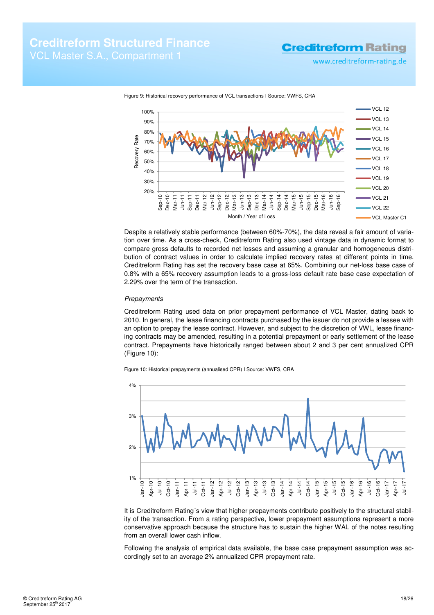**Creditreform Rating** 



Figure 9: Historical recovery performance of VCL transactions I Source: VWFS, CRA

Despite a relatively stable performance (between 60%-70%), the data reveal a fair amount of variation over time. As a cross-check, Creditreform Rating also used vintage data in dynamic format to compare gross defaults to recorded net losses and assuming a granular and homogeneous distribution of contract values in order to calculate implied recovery rates at different points in time. Creditreform Rating has set the recovery base case at 65%. Combining our net-loss base case of 0.8% with a 65% recovery assumption leads to a gross-loss default rate base case expectation of 2.29% over the term of the transaction.

#### **Prepayments**

Creditreform Rating used data on prior prepayment performance of VCL Master, dating back to 2010. In general, the lease financing contracts purchased by the issuer do not provide a lessee with an option to prepay the lease contract. However, and subject to the discretion of VWL, lease financing contracts may be amended, resulting in a potential prepayment or early settlement of the lease contract. Prepayments have historically ranged between about 2 and 3 per cent annualized CPR (Figure 10):





It is Creditreform Rating's view that higher prepayments contribute positively to the structural stability of the transaction. From a rating perspective, lower prepayment assumptions represent a more conservative approach because the structure has to sustain the higher WAL of the notes resulting from an overall lower cash inflow.

Following the analysis of empirical data available, the base case prepayment assumption was accordingly set to an average 2% annualized CPR prepayment rate.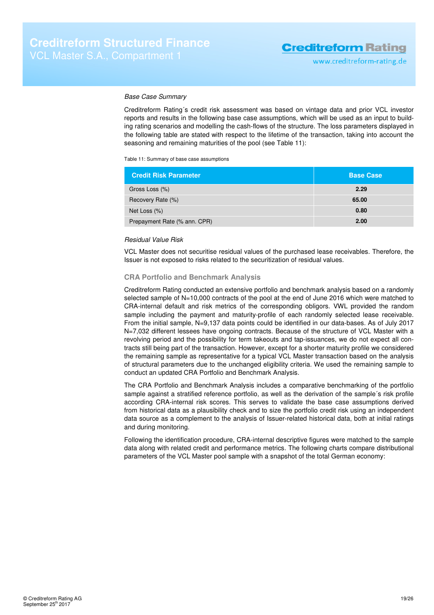#### Base Case Summary

Creditreform Rating´s credit risk assessment was based on vintage data and prior VCL investor reports and results in the following base case assumptions, which will be used as an input to building rating scenarios and modelling the cash-flows of the structure. The loss parameters displayed in the following table are stated with respect to the lifetime of the transaction, taking into account the seasoning and remaining maturities of the pool (see Table 11):

Table 11: Summary of base case assumptions

| <b>Credit Risk Parameter</b> | <b>Base Case</b> |
|------------------------------|------------------|
| Gross Loss (%)               | 2.29             |
| Recovery Rate (%)            | 65.00            |
| Net Loss (%)                 | 0.80             |
| Prepayment Rate (% ann. CPR) | 2.00             |

### Residual Value Risk

VCL Master does not securitise residual values of the purchased lease receivables. Therefore, the Issuer is not exposed to risks related to the securitization of residual values.

### **CRA Portfolio and Benchmark Analysis**

Creditreform Rating conducted an extensive portfolio and benchmark analysis based on a randomly selected sample of N=10,000 contracts of the pool at the end of June 2016 which were matched to CRA-internal default and risk metrics of the corresponding obligors. VWL provided the random sample including the payment and maturity-profile of each randomly selected lease receivable. From the initial sample, N=9,137 data points could be identified in our data-bases. As of July 2017 N=7,032 different lessees have ongoing contracts. Because of the structure of VCL Master with a revolving period and the possibility for term takeouts and tap-issuances, we do not expect all contracts still being part of the transaction. However, except for a shorter maturity profile we considered the remaining sample as representative for a typical VCL Master transaction based on the analysis of structural parameters due to the unchanged eligibility criteria. We used the remaining sample to conduct an updated CRA Portfolio and Benchmark Analysis.

The CRA Portfolio and Benchmark Analysis includes a comparative benchmarking of the portfolio sample against a stratified reference portfolio, as well as the derivation of the sample´s risk profile according CRA-internal risk scores. This serves to validate the base case assumptions derived from historical data as a plausibility check and to size the portfolio credit risk using an independent data source as a complement to the analysis of Issuer-related historical data, both at initial ratings and during monitoring.

Following the identification procedure, CRA-internal descriptive figures were matched to the sample data along with related credit and performance metrics. The following charts compare distributional parameters of the VCL Master pool sample with a snapshot of the total German economy: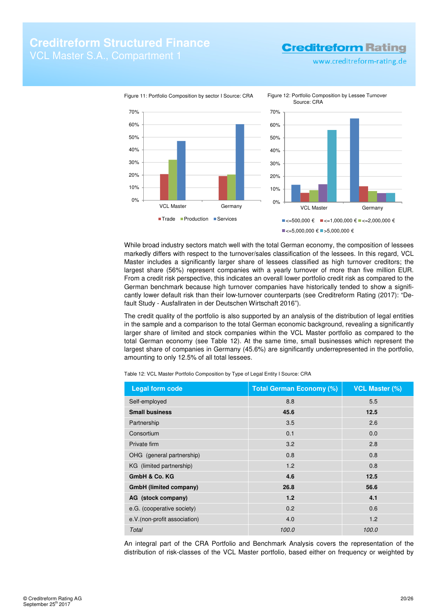www.creditreform-rating.de



While broad industry sectors match well with the total German economy, the composition of lessees markedly differs with respect to the turnover/sales classification of the lessees. In this regard, VCL Master includes a significantly larger share of lessees classified as high turnover creditors; the largest share (56%) represent companies with a yearly turnover of more than five million EUR. From a credit risk perspective, this indicates an overall lower portfolio credit risk as compared to the German benchmark because high turnover companies have historically tended to show a significantly lower default risk than their low-turnover counterparts (see Creditreform Rating (2017): "Default Study - Ausfallraten in der Deutschen Wirtschaft 2016").

The credit quality of the portfolio is also supported by an analysis of the distribution of legal entities in the sample and a comparison to the total German economic background, revealing a significantly larger share of limited and stock companies within the VCL Master portfolio as compared to the total German economy (see Table 12). At the same time, small businesses which represent the largest share of companies in Germany (45.6%) are significantly underrepresented in the portfolio, amounting to only 12.5% of all total lessees.

Table 12: VCL Master Portfolio Composition by Type of Legal Entity I Source: CRA

| <b>Legal form code</b>        | <b>Total German Economy (%)</b> | <b>VCL Master (%)</b> |
|-------------------------------|---------------------------------|-----------------------|
| Self-employed                 | 8.8                             | 5.5                   |
| <b>Small business</b>         | 45.6                            | 12.5                  |
| Partnership                   | 3.5                             | 2.6                   |
| Consortium                    | 0.1                             | 0.0                   |
| Private firm                  | 3.2                             | 2.8                   |
| OHG (general partnership)     | 0.8                             | 0.8                   |
| KG (limited partnership)      | 1.2                             | 0.8                   |
| GmbH & Co. KG                 | 4.6                             | 12.5                  |
| GmbH (limited company)        | 26.8                            | 56.6                  |
| AG (stock company)            | 1.2                             | 4.1                   |
| e.G. (cooperative society)    | 0.2                             | 0.6                   |
| e.V. (non-profit association) | 4.0                             | 1.2                   |
| Total                         | 100.0                           | 100.0                 |

An integral part of the CRA Portfolio and Benchmark Analysis covers the representation of the distribution of risk-classes of the VCL Master portfolio, based either on frequency or weighted by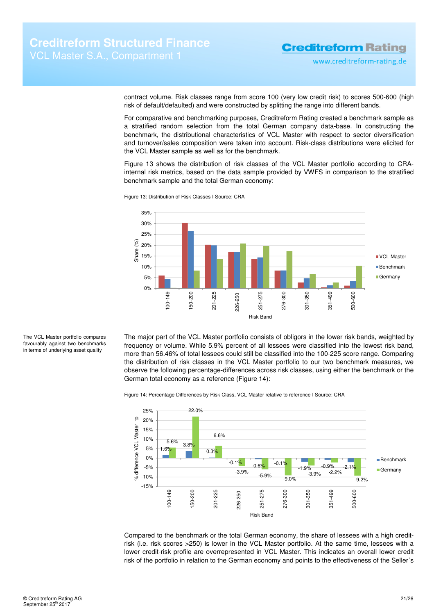www.creditreform-rating.de

contract volume. Risk classes range from score 100 (very low credit risk) to scores 500-600 (high risk of default/defaulted) and were constructed by splitting the range into different bands.

For comparative and benchmarking purposes, Creditreform Rating created a benchmark sample as a stratified random selection from the total German company data-base. In constructing the benchmark, the distributional characteristics of VCL Master with respect to sector diversification and turnover/sales composition were taken into account. Risk-class distributions were elicited for the VCL Master sample as well as for the benchmark.

Figure 13 shows the distribution of risk classes of the VCL Master portfolio according to CRAinternal risk metrics, based on the data sample provided by VWFS in comparison to the stratified benchmark sample and the total German economy:



Figure 13: Distribution of Risk Classes I Source: CRA

The VCL Master portfolio compares favourably against two benchmarks in terms of underlying asset quality

The major part of the VCL Master portfolio consists of obligors in the lower risk bands, weighted by frequency or volume. While 5.9% percent of all lessees were classified into the lowest risk band, more than 56.46% of total lessees could still be classified into the 100-225 score range. Comparing the distribution of risk classes in the VCL Master portfolio to our two benchmark measures, we observe the following percentage-differences across risk classes, using either the benchmark or the German total economy as a reference (Figure 14):





Compared to the benchmark or the total German economy, the share of lessees with a high creditrisk (i.e. risk scores >250) is lower in the VCL Master portfolio. At the same time, lessees with a lower credit-risk profile are overrepresented in VCL Master. This indicates an overall lower credit risk of the portfolio in relation to the German economy and points to the effectiveness of the Seller´s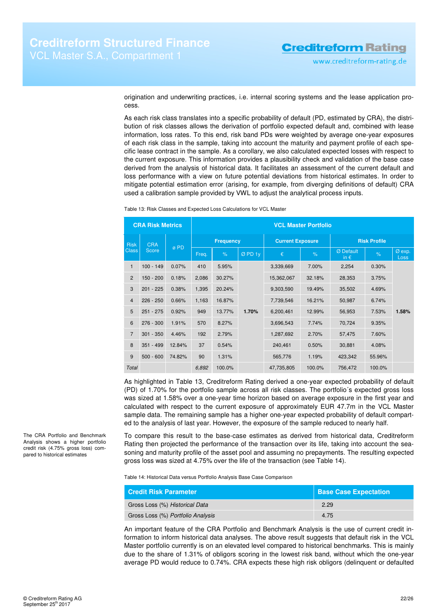origination and underwriting practices, i.e. internal scoring systems and the lease application process.

As each risk class translates into a specific probability of default (PD, estimated by CRA), the distribution of risk classes allows the derivation of portfolio expected default and, combined with lease information, loss rates. To this end, risk band PDs were weighted by average one-year exposures of each risk class in the sample, taking into account the maturity and payment profile of each specific lease contract in the sample. As a corollary, we also calculated expected losses with respect to the current exposure. This information provides a plausibility check and validation of the base case derived from the analysis of historical data. It facilitates an assessment of the current default and loss performance with a view on future potential deviations from historical estimates. In order to mitigate potential estimation error (arising, for example, from diverging definitions of default) CRA used a calibration sample provided by VWL to adjust the analytical process inputs.

Table 13: Risk Classes and Expected Loss Calculations for VCL Master

| <b>CRA Risk Metrics</b> |             | <b>VCL Master Portfolio</b> |       |                  |        |                         |        |                            |                     |                |
|-------------------------|-------------|-----------------------------|-------|------------------|--------|-------------------------|--------|----------------------------|---------------------|----------------|
| <b>Risk</b>             | <b>CRA</b>  |                             |       | <b>Frequency</b> |        | <b>Current Exposure</b> |        |                            | <b>Risk Profile</b> |                |
| <b>Class</b>            | Score       | ø PD                        | Freq. | $\%$             | ØPD 1y | €                       | $\%$   | Ø Default<br>in $\epsilon$ | $\%$                | Ø exp.<br>Loss |
| $\mathbf{1}$            | $100 - 149$ | 0.07%                       | 410   | 5.95%            |        | 3,339,669               | 7.00%  | 2,254                      | 0.30%               |                |
| $\overline{2}$          | $150 - 200$ | 0.18%                       | 2,086 | 30.27%           |        | 15,362,067              | 32.18% | 28,353                     | 3.75%               |                |
| 3                       | $201 - 225$ | 0.38%                       | 1,395 | 20.24%           |        | 9,303,590               | 19.49% | 35,502                     | 4.69%               |                |
| $\overline{4}$          | $226 - 250$ | 0.66%                       | 1,163 | 16.87%           |        | 7,739,546               | 16.21% | 50,987                     | 6.74%               |                |
| 5                       | $251 - 275$ | 0.92%                       | 949   | 13.77%           | 1.70%  | 6,200,461               | 12.99% | 56,953                     | 7.53%               | 1.58%          |
| 6                       | $276 - 300$ | 1.91%                       | 570   | 8.27%            |        | 3,696,543               | 7.74%  | 70,724                     | 9.35%               |                |
| $\overline{7}$          | $301 - 350$ | 4.46%                       | 192   | 2.79%            |        | 1,287,692               | 2.70%  | 57,475                     | 7.60%               |                |
| 8                       | $351 - 499$ | 12.84%                      | 37    | 0.54%            |        | 240,461                 | 0.50%  | 30,881                     | 4.08%               |                |
| 9                       | $500 - 600$ | 74.82%                      | 90    | 1.31%            |        | 565,776                 | 1.19%  | 423,342                    | 55.96%              |                |
| Total                   |             |                             | 6,892 | 100.0%           |        | 47,735,805              | 100.0% | 756,472                    | 100.0%              |                |

As highlighted in Table 13, Creditreform Rating derived a one-year expected probability of default (PD) of 1.70% for the portfolio sample across all risk classes. The portfolio´s expected gross loss was sized at 1.58% over a one-year time horizon based on average exposure in the first year and calculated with respect to the current exposure of approximately EUR 47.7m in the VCL Master sample data. The remaining sample has a higher one-year expected probability of default comparted to the analysis of last year. However, the exposure of the sample reduced to nearly half.

To compare this result to the base-case estimates as derived from historical data, Creditreform Rating then projected the performance of the transaction over its life, taking into account the seasoning and maturity profile of the asset pool and assuming no prepayments. The resulting expected gross loss was sized at 4.75% over the life of the transaction (see Table 14).

Table 14: Historical Data versus Portfolio Analysis Base Case Comparison

| <b>Credit Risk Parameter</b>      | <b>Base Case Expectation</b> |
|-----------------------------------|------------------------------|
| Gross Loss (%) Historical Data    | 2.29                         |
| Gross Loss (%) Portfolio Analysis | 4.75                         |

An important feature of the CRA Portfolio and Benchmark Analysis is the use of current credit information to inform historical data analyses. The above result suggests that default risk in the VCL Master portfolio currently is on an elevated level compared to historical benchmarks. This is mainly due to the share of 1.31% of obligors scoring in the lowest risk band, without which the one-year average PD would reduce to 0.74%. CRA expects these high risk obligors (delinquent or defaulted

The CRA Portfolio and Benchmark Analysis shows a higher portfolio credit risk (4.75% gross loss) compared to historical estimates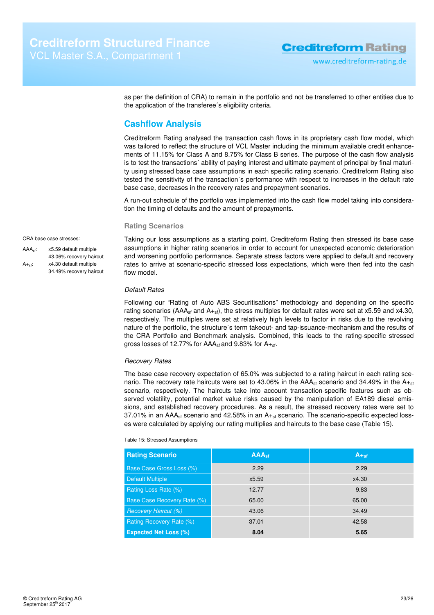as per the definition of CRA) to remain in the portfolio and not be transferred to other entities due to the application of the transferee´s eligibility criteria.

### **Cashflow Analysis**

Creditreform Rating analysed the transaction cash flows in its proprietary cash flow model, which was tailored to reflect the structure of VCL Master including the minimum available credit enhancements of 11.15% for Class A and 8.75% for Class B series. The purpose of the cash flow analysis is to test the transactions´ ability of paying interest and ultimate payment of principal by final maturity using stressed base case assumptions in each specific rating scenario. Creditreform Rating also tested the sensitivity of the transaction´s performance with respect to increases in the default rate base case, decreases in the recovery rates and prepayment scenarios.

A run-out schedule of the portfolio was implemented into the cash flow model taking into consideration the timing of defaults and the amount of prepayments.

#### **Rating Scenarios**

#### CRA base case stresses:

AAAsf: x5.59 default multiple 43.06% recovery haircut

 $A_{+sf}$ : x4.30 default multiple 34.49% recovery haircut

Taking our loss assumptions as a starting point, Creditreform Rating then stressed its base case assumptions in higher rating scenarios in order to account for unexpected economic deterioration and worsening portfolio performance. Separate stress factors were applied to default and recovery rates to arrive at scenario-specific stressed loss expectations, which were then fed into the cash flow model.

#### Default Rates

Following our "Rating of Auto ABS Securitisations" methodology and depending on the specific rating scenarios (AAA<sub>sf</sub> and  $A_{+sf}$ ), the stress multiples for default rates were set at x5.59 and x4.30, respectively. The multiples were set at relatively high levels to factor in risks due to the revolving nature of the portfolio, the structure´s term takeout- and tap-issuance-mechanism and the results of the CRA Portfolio and Benchmark analysis. Combined, this leads to the rating-specific stressed gross losses of 12.77% for  $AAA<sub>sf</sub>$  and 9.83% for  $A<sub>+st</sub>$ .

### Recovery Rates

The base case recovery expectation of 65.0% was subjected to a rating haircut in each rating scenario. The recovery rate haircuts were set to 43.06% in the  $AA_{sf}$  scenario and 34.49% in the  $A_{+sf}$ scenario, respectively. The haircuts take into account transaction-specific features such as observed volatility, potential market value risks caused by the manipulation of EA189 diesel emissions, and established recovery procedures. As a result, the stressed recovery rates were set to  $37.01\%$  in an AAA<sub>sf</sub> scenario and 42.58% in an  $A_{+sf}$  scenario. The scenario-specific expected losses were calculated by applying our rating multiplies and haircuts to the base case (Table 15).

#### Table 15: Stressed Assumptions

| <b>Rating Scenario</b>       | <b>AAA</b> sti | $A_{\text{+sf}}$ |
|------------------------------|----------------|------------------|
| Base Case Gross Loss (%)     | 2.29           | 2.29             |
| <b>Default Multiple</b>      | x5.59          | x4.30            |
| Rating Loss Rate (%)         | 12.77          | 9.83             |
| Base Case Recovery Rate (%)  | 65.00          | 65.00            |
| <b>Recovery Haircut (%)</b>  | 43.06          | 34.49            |
| Rating Recovery Rate (%)     | 37.01          | 42.58            |
| <b>Expected Net Loss (%)</b> | 8.04           | 5.65             |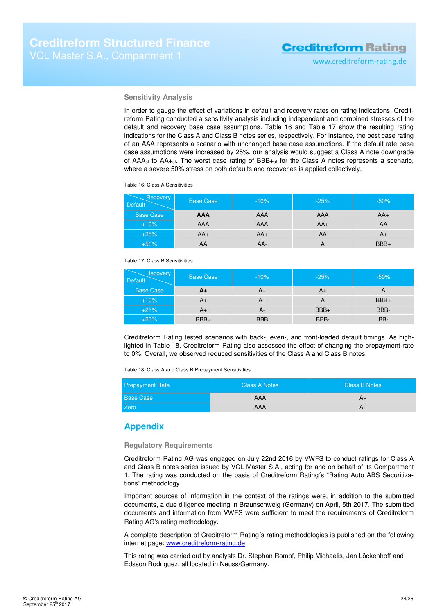### **Sensitivity Analysis**

In order to gauge the effect of variations in default and recovery rates on rating indications, Creditreform Rating conducted a sensitivity analysis including independent and combined stresses of the default and recovery base case assumptions. Table 16 and Table 17 show the resulting rating indications for the Class A and Class B notes series, respectively. For instance, the best case rating of an AAA represents a scenario with unchanged base case assumptions. If the default rate base case assumptions were increased by 25%, our analysis would suggest a Class A note downgrade of AAA<sub>sf</sub> to AA<sub>+sf</sub>. The worst case rating of BBB<sub>+sf</sub> for the Class A notes represents a scenario, where a severe 50% stress on both defaults and recoveries is applied collectively.

Table 16: Class A Sensitivities

| Recovery<br><b>Default</b> | <b>Base Case</b> | $-10%$ | $-25%$ | $-50%$ |
|----------------------------|------------------|--------|--------|--------|
| <b>Base Case</b>           | <b>AAA</b>       | AAA    | AAA    | $AA+$  |
| $+10%$                     | AAA              | AAA    | $AA+$  | AA     |
| $+25%$                     | $AA+$            | $AA+$  | AA     | $A+$   |
| $+50%$                     | AA               | AA-    | A      | $BBB+$ |

Table 17: Class B Sensitivities

| <b>Recovery</b><br><b>Default</b> | <b>Base Case</b> | $-10%$     | $-25%$ | $-50%$ |
|-----------------------------------|------------------|------------|--------|--------|
| <b>Base Case</b>                  | A+               | $A+$       | $A+$   |        |
| $+10%$                            | A+               | A+         |        | $BBB+$ |
| $+25%$                            | $A+$             | А-         | $BBB+$ | BBB-   |
| $+50%$                            | $BBB+$           | <b>BBB</b> | BBB-   | BB-    |

Creditreform Rating tested scenarios with back-, even-, and front-loaded default timings. As highlighted in Table 18, Creditreform Rating also assessed the effect of changing the prepayment rate to 0%. Overall, we observed reduced sensitivities of the Class A and Class B notes.

Table 18: Class A and Class B Prepayment Sensitivities

| <b>Prepayment Rate</b> | <b>Class A Notes</b> | <b>Class B Notes</b> |
|------------------------|----------------------|----------------------|
| <b>Base Case</b>       | <b>AAA</b>           | A+                   |
| Zero                   | AAA                  | A+                   |

### **Appendix**

#### **Regulatory Requirements**

Creditreform Rating AG was engaged on July 22nd 2016 by VWFS to conduct ratings for Class A and Class B notes series issued by VCL Master S.A., acting for and on behalf of its Compartment 1. The rating was conducted on the basis of Creditreform Rating´s "Rating Auto ABS Securitizations" methodology.

Important sources of information in the context of the ratings were, in addition to the submitted documents, a due diligence meeting in Braunschweig (Germany) on April, 5th 2017. The submitted documents and information from VWFS were sufficient to meet the requirements of Creditreform Rating AG's rating methodology.

A complete description of Creditreform Rating´s rating methodologies is published on the following internet page: www.creditreform-rating.de.

This rating was carried out by analysts Dr. Stephan Rompf, Philip Michaelis, Jan Löckenhoff and Edsson Rodriguez, all located in Neuss/Germany.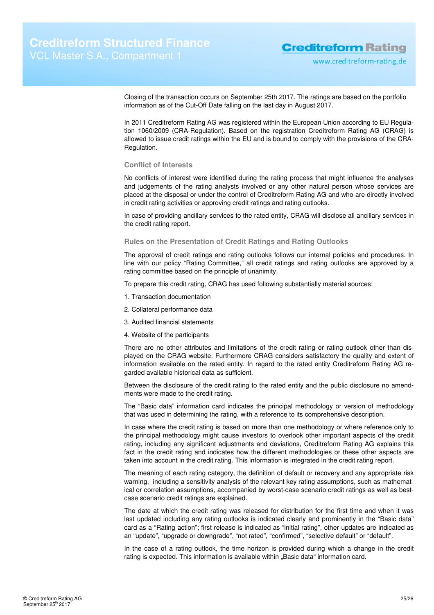Closing of the transaction occurs on September 25th 2017. The ratings are based on the portfolio information as of the Cut-Off Date falling on the last day in August 2017.

In 2011 Creditreform Rating AG was registered within the European Union according to EU Regulation 1060/2009 (CRA-Regulation). Based on the registration Creditreform Rating AG (CRAG) is allowed to issue credit ratings within the EU and is bound to comply with the provisions of the CRA-Regulation.

#### **Conflict of Interests**

No conflicts of interest were identified during the rating process that might influence the analyses and judgements of the rating analysts involved or any other natural person whose services are placed at the disposal or under the control of Creditreform Rating AG and who are directly involved in credit rating activities or approving credit ratings and rating outlooks.

In case of providing ancillary services to the rated entity, CRAG will disclose all ancillary services in the credit rating report.

#### **Rules on the Presentation of Credit Ratings and Rating Outlooks**

The approval of credit ratings and rating outlooks follows our internal policies and procedures. In line with our policy "Rating Committee," all credit ratings and rating outlooks are approved by a rating committee based on the principle of unanimity.

To prepare this credit rating, CRAG has used following substantially material sources:

- 1. Transaction documentation
- 2. Collateral performance data
- 3. Audited financial statements
- 4. Website of the participants

There are no other attributes and limitations of the credit rating or rating outlook other than displayed on the CRAG website. Furthermore CRAG considers satisfactory the quality and extent of information available on the rated entity. In regard to the rated entity Creditreform Rating AG regarded available historical data as sufficient.

Between the disclosure of the credit rating to the rated entity and the public disclosure no amendments were made to the credit rating.

The "Basic data" information card indicates the principal methodology or version of methodology that was used in determining the rating, with a reference to its comprehensive description.

In case where the credit rating is based on more than one methodology or where reference only to the principal methodology might cause investors to overlook other important aspects of the credit rating, including any significant adjustments and deviations, Creditreform Rating AG explains this fact in the credit rating and indicates how the different methodologies or these other aspects are taken into account in the credit rating. This information is integrated in the credit rating report.

The meaning of each rating category, the definition of default or recovery and any appropriate risk warning, including a sensitivity analysis of the relevant key rating assumptions, such as mathematical or correlation assumptions, accompanied by worst-case scenario credit ratings as well as bestcase scenario credit ratings are explained.

The date at which the credit rating was released for distribution for the first time and when it was last updated including any rating outlooks is indicated clearly and prominently in the "Basic data" card as a "Rating action"; first release is indicated as "initial rating", other updates are indicated as an "update", "upgrade or downgrade", "not rated", "confirmed", "selective default" or "default".

In the case of a rating outlook, the time horizon is provided during which a change in the credit rating is expected. This information is available within "Basic data" information card.